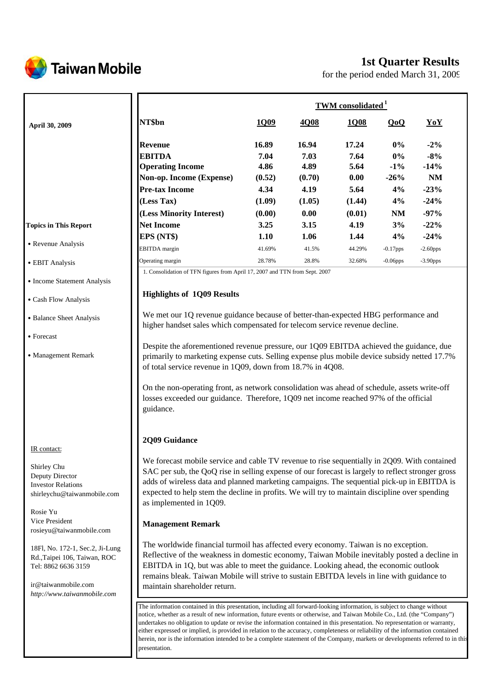

# **Taiwan Mobile**

# **1st Quarter Results**

for the period ended March 31, 2009

|                              |                          | <b>TWM</b> consolidated <sup>1</sup> |        |        |             |             |
|------------------------------|--------------------------|--------------------------------------|--------|--------|-------------|-------------|
| <b>April 30, 2009</b>        | NT\$bn                   | 1Q09                                 | 4Q08   | 1Q08   | QoQ         | YoY         |
|                              | <b>Revenue</b>           | 16.89                                | 16.94  | 17.24  | $0\%$       | $-2\%$      |
|                              | <b>EBITDA</b>            | 7.04                                 | 7.03   | 7.64   | $0\%$       | $-8%$       |
|                              | <b>Operating Income</b>  | 4.86                                 | 4.89   | 5.64   | $-1\%$      | $-14%$      |
|                              | Non-op. Income (Expense) | (0.52)                               | (0.70) | 0.00   | $-26%$      | <b>NM</b>   |
|                              | <b>Pre-tax Income</b>    | 4.34                                 | 4.19   | 5.64   | 4%          | $-23%$      |
|                              | (Less Tax)               | (1.09)                               | (1.05) | (1.44) | 4%          | $-24%$      |
|                              | (Less Minority Interest) | (0.00)                               | 0.00   | (0.01) | NM          | $-97%$      |
| <b>Topics in This Report</b> | <b>Net Income</b>        | 3.25                                 | 3.15   | 4.19   | 3%          | $-22%$      |
|                              | EPS (NT\$)               | 1.10                                 | 1.06   | 1.44   | 4%          | $-24%$      |
| • Revenue Analysis           | <b>EBITDA</b> margin     | 41.69%                               | 41.5%  | 44.29% | $-0.17$ pps | $-2.60$ pps |
| • EBIT Analysis              | Operating margin         | 28.78%                               | 28.8%  | 32.68% | $-0.06$ pps | $-3.90$ pps |

- ․Cash Flow Analysis
- Balance Sheet Analysis
- Forecast
- Management Remark

#### IR contact:

Shirley Chu Deputy Director Investor Relations shirleychu@taiwanmobile.com

Rosie Yu Vice President rosieyu@taiwanmobile.com

18Fl, No. 172-1, Sec.2, Ji-Lung Rd.,Taipei 106, Taiwan, ROC Tel: 8862 6636 3159

ir@taiwanmobile.com *http://www.taiwanmobile.com*

# **Highlights of 1Q09 Results**

We met our 1Q revenue guidance because of better-than-expected HBG performance and higher handset sales which compensated for telecom service revenue decline.

Despite the aforementioned revenue pressure, our 1Q09 EBITDA achieved the guidance, due primarily to marketing expense cuts. Selling expense plus mobile device subsidy netted 17.7% of total service revenue in 1Q09, down from 18.7% in 4Q08.

On the non-operating front, as network consolidation was ahead of schedule, assets write-off losses exceeded our guidance. Therefore, 1Q09 net income reached 97% of the official guidance.

## **2Q09 Guidance**

We forecast mobile service and cable TV revenue to rise sequentially in 2Q09. With contained SAC per sub, the QoQ rise in selling expense of our forecast is largely to reflect stronger gross adds of wireless data and planned marketing campaigns. The sequential pick-up in EBITDA is expected to help stem the decline in profits. We will try to maintain discipline over spending as implemented in 1Q09.

### **Management Remark**

The worldwide financial turmoil has affected every economy. Taiwan is no exception. Reflective of the weakness in domestic economy, Taiwan Mobile inevitably posted a decline in EBITDA in 1Q, but was able to meet the guidance. Looking ahead, the economic outlook remains bleak. Taiwan Mobile will strive to sustain EBITDA levels in line with guidance to maintain shareholder return.

The information contained in this presentation, including all forward-looking information, is subject to change without notice, whether as a result of new information, future events or otherwise, and Taiwan Mobile Co., Ltd. (the "Company") undertakes no obligation to update or revise the information contained in this presentation. No representation or warranty, either expressed or implied, is provided in relation to the accuracy, completeness or reliability of the information contained herein, nor is the information intended to be a complete statement of the Company, markets or developments referred to in this presentation.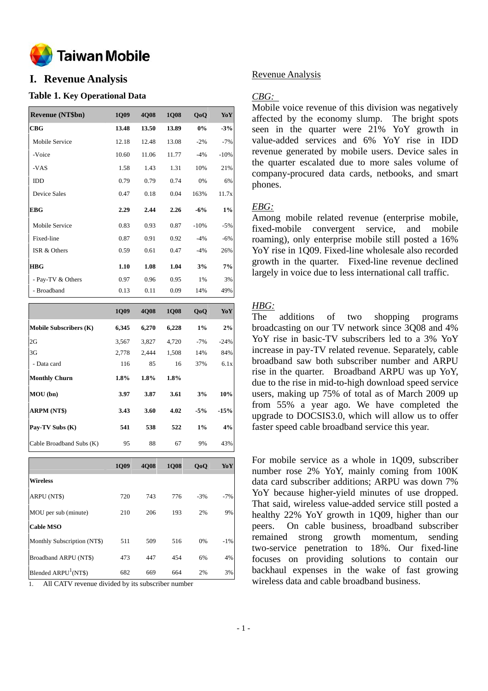

# **I. Revenue Analysis**

### **Table 1. Key Operational Data**

| <b>Revenue (NT\$bn)</b> | 1Q09  | 4Q08  | <b>1Q08</b> | QoQ    | YoY    |
|-------------------------|-------|-------|-------------|--------|--------|
| CBG                     | 13.48 | 13.50 | 13.89       | $0\%$  | $-3%$  |
| Mobile Service          | 12.18 | 12.48 | 13.08       | $-2\%$ | $-7%$  |
| -Voice                  | 10.60 | 11.06 | 11.77       | $-4%$  | $-10%$ |
| -VAS                    | 1.58  | 1.43  | 1.31        | 10%    | 21%    |
| <b>IDD</b>              | 0.79  | 0.79  | 0.74        | 0%     | 6%     |
| <b>Device Sales</b>     | 0.47  | 0.18  | 0.04        | 163%   | 11.7x  |
| EBG                     | 2.29  | 2.44  | 2.26        | $-6\%$ | 1%     |
| Mobile Service          | 0.83  | 0.93  | 0.87        | $-10%$ | $-5%$  |
| Fixed-line              | 0.87  | 0.91  | 0.92        | $-4%$  | $-6%$  |
| ISR & Others            | 0.59  | 0.61  | 0.47        | $-4%$  | 26%    |
| <b>HBG</b>              | 1.10  | 1.08  | 1.04        | 3%     | 7%     |
| - Pay-TV & Others       | 0.97  | 0.96  | 0.95        | 1%     | 3%     |
| - Broadband             | 0.13  | 0.11  | 0.09        | 14%    | 49%    |
|                         |       |       |             |        |        |

|                               | 1Q09  | <b>4Q08</b> | <b>1Q08</b> | Q <sub>o</sub> Q | YoY    |
|-------------------------------|-------|-------------|-------------|------------------|--------|
| <b>Mobile Subscribers (K)</b> | 6,345 | 6,270       | 6,228       | 1%               | 2%     |
| 2G                            | 3,567 | 3,827       | 4,720       | $-7%$            | $-24%$ |
| 3G                            | 2,778 | 2,444       | 1,508       | 14%              | 84%    |
| - Data card                   | 116   | 85          | 16          | 37%              | 6.1x   |
| <b>Monthly Churn</b>          | 1.8%  | 1.8%        | 1.8%        |                  |        |
| MOU(bn)                       | 3.97  | 3.87        | 3.61        | 3%               | 10%    |
| <b>ARPM (NT\$)</b>            | 3.43  | 3.60        | 4.02        | $-5%$            | $-15%$ |
| Pay-TV Subs (K)               | 541   | 538         | 522         | $1\%$            | 4%     |
| Cable Broadband Subs (K)      | 95    | 88          | 67          | 9%               | 43%    |

|                                  | 1009 | <b>4008</b> | <b>1008</b> | QoQ   | YoY    |
|----------------------------------|------|-------------|-------------|-------|--------|
| <b>Wireless</b>                  |      |             |             |       |        |
| ARPU (NT\$)                      | 720  | 743         | 776         | $-3%$ | $-7%$  |
| MOU per sub (minute)             | 210  | 206         | 193         | 2%    | 9%     |
| <b>Cable MSO</b>                 |      |             |             |       |        |
| Monthly Subscription (NT\$)      | 511  | 509         | 516         | 0%    | $-1\%$ |
| Broadband ARPU (NT\$)            | 473  | 447         | 454         | 6%    | 4%     |
| Blended ARPU <sup>1</sup> (NT\$) | 682  | 669         | 664         | 2%    | 3%     |

1. All CATV revenue divided by its subscriber number

### Revenue Analysis

## *CBG:*

Mobile voice revenue of this division was negatively affected by the economy slump. The bright spots seen in the quarter were 21% YoY growth in value-added services and 6% YoY rise in IDD revenue generated by mobile users. Device sales in the quarter escalated due to more sales volume of company-procured data cards, netbooks, and smart phones.

## *EBG:*

Among mobile related revenue (enterprise mobile, fixed-mobile convergent service, and mobile roaming), only enterprise mobile still posted a 16% YoY rise in 1Q09. Fixed-line wholesale also recorded growth in the quarter. Fixed-line revenue declined largely in voice due to less international call traffic.

## *HBG:*

The additions of two shopping programs broadcasting on our TV network since 3Q08 and 4% YoY rise in basic-TV subscribers led to a 3% YoY increase in pay-TV related revenue. Separately, cable broadband saw both subscriber number and ARPU rise in the quarter. Broadband ARPU was up YoY, due to the rise in mid-to-high download speed service users, making up 75% of total as of March 2009 up from 55% a year ago. We have completed the upgrade to DOCSIS3.0, which will allow us to offer faster speed cable broadband service this year.

For mobile service as a whole in 1Q09, subscriber number rose 2% YoY, mainly coming from 100K data card subscriber additions; ARPU was down 7% YoY because higher-yield minutes of use dropped. That said, wireless value-added service still posted a healthy 22% YoY growth in 1Q09, higher than our peers. On cable business, broadband subscriber remained strong growth momentum, sending two-service penetration to 18%. Our fixed-line focuses on providing solutions to contain our backhaul expenses in the wake of fast growing wireless data and cable broadband business.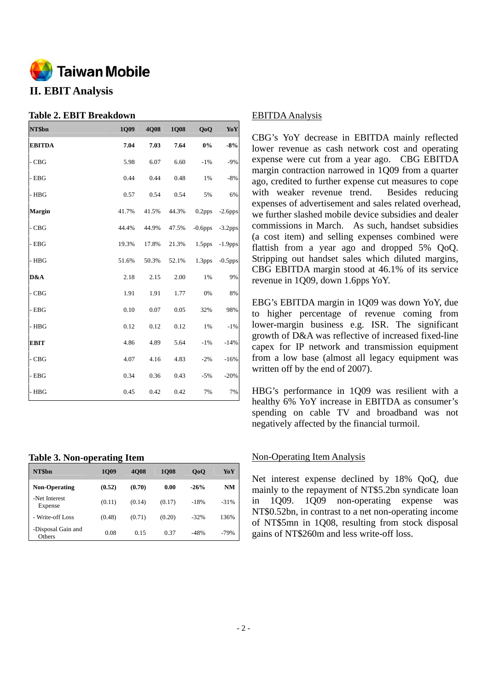

# **II. EBIT Analysis**

## **Table 2. EBIT Breakdown**

| NT\$bn        | 1Q09  | <b>4Q08</b> | 1Q08  | QoQ                | YoY        |
|---------------|-------|-------------|-------|--------------------|------------|
| <b>EBITDA</b> | 7.04  | 7.03        | 7.64  | $0\%$              | $-8%$      |
| $-CBG$        | 5.98  | 6.07        | 6.60  | $-1%$              | $-9%$      |
| $-$ EBG       | 0.44  | 0.44        | 0.48  | 1%                 | $-8%$      |
| - HBG         | 0.57  | 0.54        | 0.54  | 5%                 | 6%         |
| <b>Margin</b> | 41.7% | 41.5%       | 44.3% | 0.2pps             | $-2.6$ pps |
| - CBG         | 44.4% | 44.9%       | 47.5% | $-0.6$ pps         | $-3.2$ pps |
| $-$ EBG       | 19.3% | 17.8%       | 21.3% | 1.5 <sub>pps</sub> | $-1.9$ pps |
| - HBG         | 51.6% | 50.3%       | 52.1% | 1.3pps             | $-0.5$ pps |
| D&A           | 2.18  | 2.15        | 2.00  | 1%                 | 9%         |
| $-CBG$        | 1.91  | 1.91        | 1.77  | 0%                 | 8%         |
| $-$ EBG       | 0.10  | 0.07        | 0.05  | 32%                | 98%        |
| - HBG         | 0.12  | 0.12        | 0.12  | 1%                 | $-1%$      |
| <b>EBIT</b>   | 4.86  | 4.89        | 5.64  | $-1%$              | $-14%$     |
| - CBG         | 4.07  | 4.16        | 4.83  | $-2%$              | $-16%$     |
| - EBG         | 0.34  | 0.36        | 0.43  | $-5%$              | $-20%$     |
| - HBG         | 0.45  | 0.42        | 0.42  | 7%                 | 7%         |

## **Table 3. Non-operating Item**

| NT\$bn                       | <b>1009</b> | <b>4008</b> | <b>1008</b> | 0 <sub>0</sub> | YoY    |
|------------------------------|-------------|-------------|-------------|----------------|--------|
| <b>Non-Operating</b>         | (0.52)      | (0.70)      | 0.00        | $-26%$         | NM     |
| -Net Interest<br>Expense     | (0.11)      | (0.14)      | (0.17)      | $-18%$         | $-31%$ |
| - Write-off Loss             | (0.48)      | (0.71)      | (0.20)      | $-32%$         | 136%   |
| -Disposal Gain and<br>Others | 0.08        | 0.15        | 0.37        | $-48%$         | $-79%$ |

## EBITDA Analysis

CBG's YoY decrease in EBITDA mainly reflected lower revenue as cash network cost and operating expense were cut from a year ago. CBG EBITDA margin contraction narrowed in 1Q09 from a quarter ago, credited to further expense cut measures to cope with weaker revenue trend. Besides reducing expenses of advertisement and sales related overhead, we further slashed mobile device subsidies and dealer commissions in March. As such, handset subsidies (a cost item) and selling expenses combined were flattish from a year ago and dropped 5% QoQ. Stripping out handset sales which diluted margins, CBG EBITDA margin stood at 46.1% of its service revenue in 1Q09, down 1.6pps YoY.

EBG's EBITDA margin in 1Q09 was down YoY, due to higher percentage of revenue coming from lower-margin business e.g. ISR. The significant growth of D&A was reflective of increased fixed-line capex for IP network and transmission equipment from a low base (almost all legacy equipment was written off by the end of 2007).

HBG's performance in 1Q09 was resilient with a healthy 6% YoY increase in EBITDA as consumer's spending on cable TV and broadband was not negatively affected by the financial turmoil.

## Non-Operating Item Analysis

Net interest expense declined by 18% QoQ, due mainly to the repayment of NT\$5.2bn syndicate loan in 1Q09. 1Q09 non-operating expense was NT\$0.52bn, in contrast to a net non-operating income of NT\$5mn in 1Q08, resulting from stock disposal gains of NT\$260m and less write-off loss.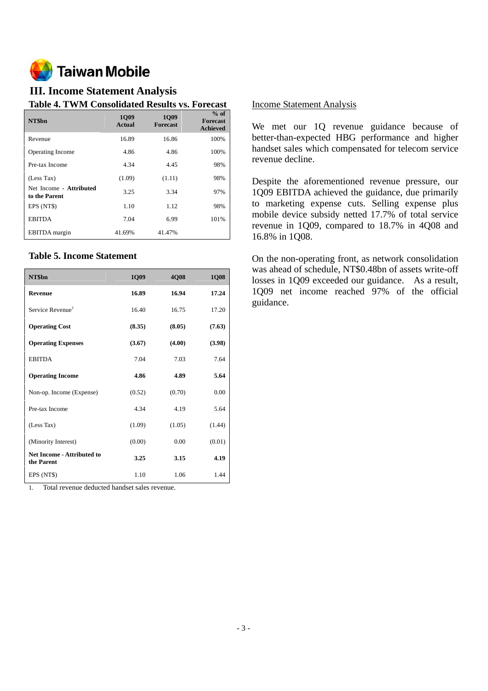

# **III. Income Statement Analysis**

## **Table 4. TWM Consolidated Results vs. Forecast**

| NT\$bn                                   | <b>1009</b><br><b>Actual</b> | <b>1009</b><br><b>Forecast</b> | $%$ of<br><b>Forecast</b><br><b>Achieved</b> |
|------------------------------------------|------------------------------|--------------------------------|----------------------------------------------|
| Revenue                                  | 16.89                        | 16.86                          | 100%                                         |
| Operating Income                         | 4.86                         | 4.86                           | 100%                                         |
| Pre-tax Income                           | 4.34                         | 4.45                           | 98%                                          |
| (Less Tax)                               | (1.09)                       | (1.11)                         | 98%                                          |
| Net Income - Attributed<br>to the Parent | 3.25                         | 3.34                           | 97%                                          |
| EPS (NT\$)                               | 1.10                         | 1.12                           | 98%                                          |
| <b>EBITDA</b>                            | 7.04                         | 6.99                           | 101%                                         |
| <b>EBITDA</b> margin                     | 41.69%                       | 41.47%                         |                                              |

## **Table 5. Income Statement**

| NT\$bn                                          | 1Q09   | 4Q08   | 1Q08   |
|-------------------------------------------------|--------|--------|--------|
| <b>Revenue</b>                                  | 16.89  | 16.94  | 17.24  |
| Service Revenue <sup>1</sup>                    | 16.40  | 16.75  | 17.20  |
| <b>Operating Cost</b>                           | (8.35) | (8.05) | (7.63) |
| <b>Operating Expenses</b>                       | (3.67) | (4.00) | (3.98) |
| <b>EBITDA</b>                                   | 7.04   | 7.03   | 7.64   |
| <b>Operating Income</b>                         | 4.86   | 4.89   | 5.64   |
| Non-op. Income (Expense)                        | (0.52) | (0.70) | 0.00   |
| Pre-tax Income                                  | 4.34   | 4.19   | 5.64   |
| (Less Tax)                                      | (1.09) | (1.05) | (1.44) |
| (Minority Interest)                             | (0.00) | 0.00   | (0.01) |
| <b>Net Income - Attributed to</b><br>the Parent | 3.25   | 3.15   | 4.19   |
| EPS (NT\$)                                      | 1.10   | 1.06   | 1.44   |

1. Total revenue deducted handset sales revenue.

## Income Statement Analysis

We met our 1Q revenue guidance because of better-than-expected HBG performance and higher handset sales which compensated for telecom service revenue decline.

Despite the aforementioned revenue pressure, our 1Q09 EBITDA achieved the guidance, due primarily to marketing expense cuts. Selling expense plus mobile device subsidy netted 17.7% of total service revenue in 1Q09, compared to 18.7% in 4Q08 and 16.8% in 1Q08.

On the non-operating front, as network consolidation was ahead of schedule, NT\$0.48bn of assets write-off losses in 1Q09 exceeded our guidance. As a result, 1Q09 net income reached 97% of the official guidance.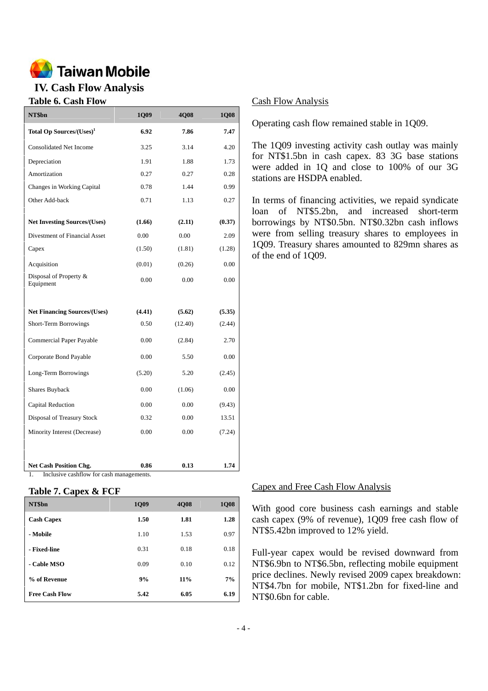

# **IV. Cash Flow Analysis**

## **Table 6. Cash Flow**

| NT\$bn                               | 1Q09   | 4Q08    | 1Q08   |
|--------------------------------------|--------|---------|--------|
| Total Op Sources/(Uses) <sup>1</sup> | 6.92   | 7.86    | 7.47   |
| <b>Consolidated Net Income</b>       | 3.25   | 3.14    | 4.20   |
| Depreciation                         | 1.91   | 1.88    | 1.73   |
| Amortization                         | 0.27   | 0.27    | 0.28   |
| Changes in Working Capital           | 0.78   | 1.44    | 0.99   |
| Other Add-back                       | 0.71   | 1.13    | 0.27   |
| <b>Net Investing Sources/(Uses)</b>  | (1.66) | (2.11)  | (0.37) |
| Divestment of Financial Asset        | 0.00   | 0.00    | 2.09   |
| Capex                                | (1.50) | (1.81)  | (1.28) |
| Acquisition                          | (0.01) | (0.26)  | 0.00   |
| Disposal of Property &<br>Equipment  | 0.00   | 0.00    | 0.00   |
| <b>Net Financing Sources/(Uses)</b>  | (4.41) | (5.62)  | (5.35) |
| <b>Short-Term Borrowings</b>         | 0.50   | (12.40) | (2.44) |
| Commercial Paper Payable             | 0.00   | (2.84)  | 2.70   |
| Corporate Bond Payable               | 0.00   | 5.50    | 0.00   |
| Long-Term Borrowings                 | (5.20) | 5.20    | (2.45) |
| Shares Buyback                       | 0.00   | (1.06)  | 0.00   |
| Capital Reduction                    | 0.00   | 0.00    | (9.43) |
| Disposal of Treasury Stock           | 0.32   | 0.00    | 13.51  |
| Minority Interest (Decrease)         | 0.00   | 0.00    | (7.24) |
|                                      |        |         |        |
| <b>Net Cash Position Chg.</b>        | 0.86   | 0.13    | 1.74   |

1. Inclusive cashflow for cash managements.

#### **Table 7. Capex & FCF**

| NT\$bn                | 1Q09 | <b>4008</b> | <b>1Q08</b> |
|-----------------------|------|-------------|-------------|
| <b>Cash Capex</b>     | 1.50 | 1.81        | 1.28        |
| - Mobile              | 1.10 | 1.53        | 0.97        |
| - Fixed-line          | 0.31 | 0.18        | 0.18        |
| - Cable MSO           | 0.09 | 0.10        | 0.12        |
| % of Revenue          | 9%   | 11%         | 7%          |
| <b>Free Cash Flow</b> | 5.42 | 6.05        | 6.19        |

#### Cash Flow Analysis

Operating cash flow remained stable in 1Q09.

The 1Q09 investing activity cash outlay was mainly for NT\$1.5bn in cash capex. 83 3G base stations were added in 1Q and close to 100% of our 3G stations are HSDPA enabled.

In terms of financing activities, we repaid syndicate loan of NT\$5.2bn, and increased short-term borrowings by NT\$0.5bn. NT\$0.32bn cash inflows were from selling treasury shares to employees in 1Q09. Treasury shares amounted to 829mn shares as of the end of 1Q09.

#### Capex and Free Cash Flow Analysis

With good core business cash earnings and stable cash capex (9% of revenue), 1Q09 free cash flow of NT\$5.42bn improved to 12% yield.

Full-year capex would be revised downward from NT\$6.9bn to NT\$6.5bn, reflecting mobile equipment price declines. Newly revised 2009 capex breakdown: NT\$4.7bn for mobile, NT\$1.2bn for fixed-line and NT\$0.6bn for cable.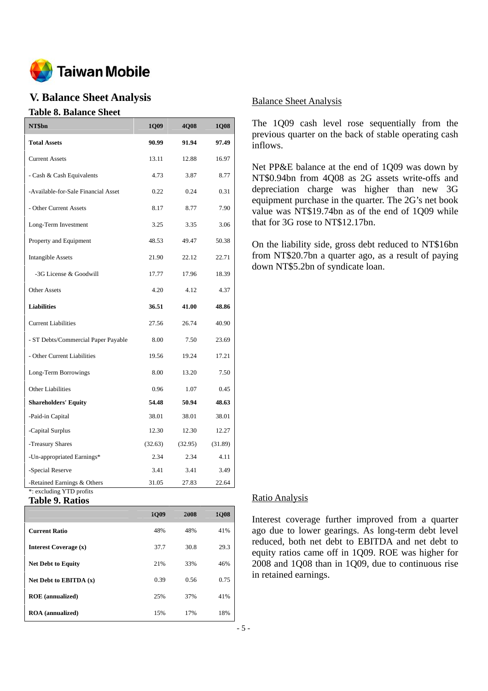

# **V. Balance Sheet Analysis**

## **Table 8. Balance Sheet**

| NT\$bn                                                  | 1Q09    | 4Q08    | 1Q08    |
|---------------------------------------------------------|---------|---------|---------|
| <b>Total Assets</b>                                     | 90.99   | 91.94   | 97.49   |
| <b>Current Assets</b>                                   | 13.11   | 12.88   | 16.97   |
| - Cash & Cash Equivalents                               | 4.73    | 3.87    | 8.77    |
| -Available-for-Sale Financial Asset                     | 0.22    | 0.24    | 0.31    |
| - Other Current Assets                                  | 8.17    | 8.77    | 7.90    |
| Long-Term Investment                                    | 3.25    | 3.35    | 3.06    |
| Property and Equipment                                  | 48.53   | 49.47   | 50.38   |
| <b>Intangible Assets</b>                                | 21.90   | 22.12   | 22.71   |
| -3G License & Goodwill                                  | 17.77   | 17.96   | 18.39   |
| <b>Other Assets</b>                                     | 4.20    | 4.12    | 4.37    |
| <b>Liabilities</b>                                      | 36.51   | 41.00   | 48.86   |
| <b>Current Liabilities</b>                              | 27.56   | 26.74   | 40.90   |
| - ST Debts/Commercial Paper Payable                     | 8.00    | 7.50    | 23.69   |
| - Other Current Liabilities                             | 19.56   | 19.24   | 17.21   |
| Long-Term Borrowings                                    | 8.00    | 13.20   | 7.50    |
| <b>Other Liabilities</b>                                | 0.96    | 1.07    | 0.45    |
| <b>Shareholders' Equity</b>                             | 54.48   | 50.94   | 48.63   |
| -Paid-in Capital                                        | 38.01   | 38.01   | 38.01   |
| -Capital Surplus                                        | 12.30   | 12.30   | 12.27   |
| -Treasury Shares                                        | (32.63) | (32.95) | (31.89) |
| -Un-appropriated Earnings*                              | 2.34    | 2.34    | 4.11    |
| -Special Reserve                                        | 3.41    | 3.41    | 3.49    |
| -Retained Earnings & Others<br>*: excluding YTD profits | 31.05   | 27.83   | 22.64   |

### **Table 9. Ratios**

|                           | <b>1Q09</b> | 2008 | <b>1008</b> |
|---------------------------|-------------|------|-------------|
| <b>Current Ratio</b>      | 48%         | 48%  | 41%         |
| Interest Coverage (x)     | 37.7        | 30.8 | 29.3        |
| <b>Net Debt to Equity</b> | 21%         | 33%  | 46%         |
| Net Debt to EBITDA $(x)$  | 0.39        | 0.56 | 0.75        |
| <b>ROE</b> (annualized)   | 25%         | 37%  | 41%         |
| <b>ROA</b> (annualized)   | 15%         | 17%  | 18%         |

## Balance Sheet Analysis

The 1Q09 cash level rose sequentially from the previous quarter on the back of stable operating cash inflows.

Net PP&E balance at the end of 1Q09 was down by NT\$0.94bn from 4Q08 as 2G assets write-offs and depreciation charge was higher than new 3G equipment purchase in the quarter. The 2G's net book value was NT\$19.74bn as of the end of 1Q09 while that for 3G rose to NT\$12.17bn.

On the liability side, gross debt reduced to NT\$16bn from NT\$20.7bn a quarter ago, as a result of paying down NT\$5.2bn of syndicate loan.

#### Ratio Analysis

Interest coverage further improved from a quarter ago due to lower gearings. As long-term debt level reduced, both net debt to EBITDA and net debt to equity ratios came off in 1Q09. ROE was higher for 2008 and 1Q08 than in 1Q09, due to continuous rise in retained earnings.